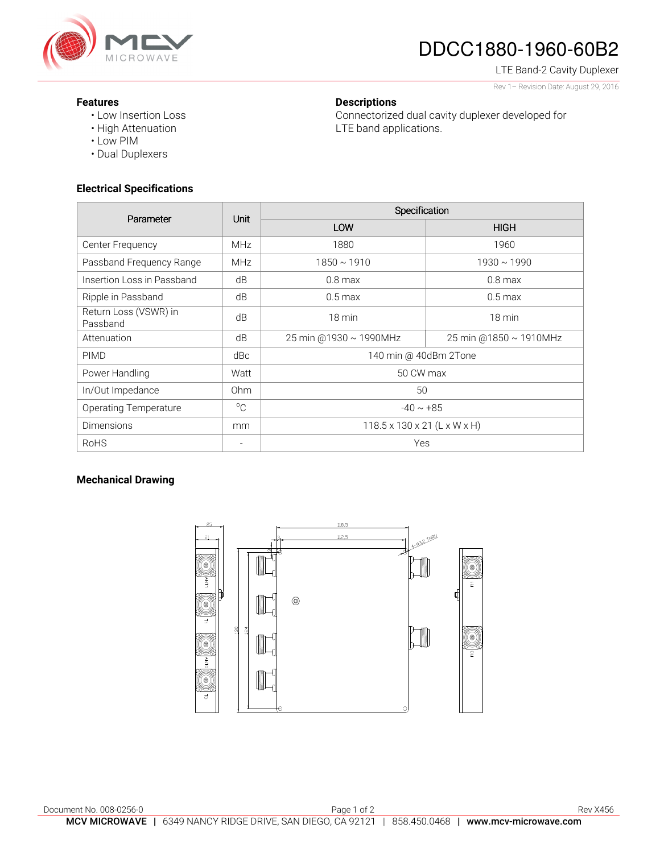

# DDCC1880-1960-60B2

Connectorized dual cavity duplexer developed for

LTE Band-2 Cavity Duplexer Rev 1– Revision Date: August 29, 2016

### **Features**

- Low Insertion Loss
- High Attenuation
- Low PIM
- Dual Duplexers

## **Electrical Specifications**

| Parameter                         | <b>Unit</b>     | Specification                            |                        |
|-----------------------------------|-----------------|------------------------------------------|------------------------|
|                                   |                 | LOW                                      | <b>HIGH</b>            |
| Center Frequency                  | MHz             | 1880                                     | 1960                   |
| Passband Frequency Range          | <b>MHz</b>      | $1850 \sim 1910$                         | $1930 \sim 1990$       |
| Insertion Loss in Passband        | dB              | $0.8$ max                                | $0.8$ max              |
| Ripple in Passband                | dB              | $0.5 \,\mathrm{max}$                     | $0.5$ max              |
| Return Loss (VSWR) in<br>Passband | dB              | 18 min                                   | $18 \text{ min}$       |
| Attenuation                       | dB              | 25 min @1930 ~ 1990MHz                   | 25 min @1850 ~ 1910MHz |
| <b>PIMD</b>                       | dBc             | 140 min @ 40dBm 2Tone                    |                        |
| Power Handling                    | Watt            | 50 CW max                                |                        |
| In/Out Impedance                  | 0 <sub>hm</sub> | 50                                       |                        |
| <b>Operating Temperature</b>      | $^{\circ}C$     | $-40 \sim +85$                           |                        |
| <b>Dimensions</b>                 | mm              | $118.5 \times 130 \times 21$ (L x W x H) |                        |
| <b>RoHS</b>                       | $\overline{a}$  | Yes                                      |                        |

**Descriptions** 

LTE band applications.

## **Mechanical Drawing**